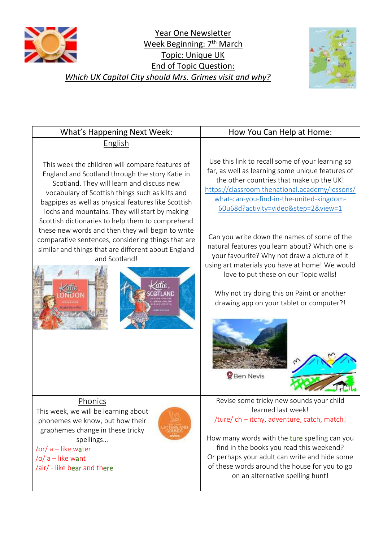

Year One Newsletter Week Beginning: 7<sup>th</sup> March Topic: Unique UK End of Topic Question: *Which UK Capital City should Mrs. Grimes visit and why?*



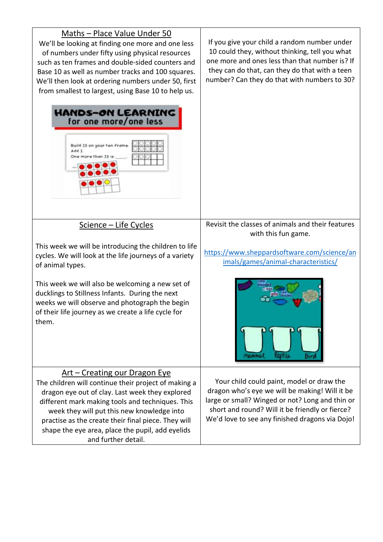| Maths - Place Value Under 50<br>We'll be looking at finding one more and one less<br>of numbers under fifty using physical resources<br>such as ten frames and double-sided counters and<br>Base 10 as well as number tracks and 100 squares.<br>We'll then look at ordering numbers under 50, first<br>from smallest to largest, using Base 10 to help us.                         | If you give your child a random number under<br>10 could they, without thinking, tell you what<br>one more and ones less than that number is? If<br>they can do that, can they do that with a teen<br>number? Can they do that with numbers to 30?   |
|-------------------------------------------------------------------------------------------------------------------------------------------------------------------------------------------------------------------------------------------------------------------------------------------------------------------------------------------------------------------------------------|------------------------------------------------------------------------------------------------------------------------------------------------------------------------------------------------------------------------------------------------------|
| <b>HANDS-ON LEARNING</b><br>for one more/one less<br>Build 13 on your ten frame<br>One more than 13 is                                                                                                                                                                                                                                                                              |                                                                                                                                                                                                                                                      |
| Science - Life Cycles                                                                                                                                                                                                                                                                                                                                                               | Revisit the classes of animals and their features<br>with this fun game.                                                                                                                                                                             |
| This week we will be introducing the children to life<br>cycles. We will look at the life journeys of a variety<br>of animal types.                                                                                                                                                                                                                                                 | https://www.sheppardsoftware.com/science/an<br>imals/games/animal-characteristics/                                                                                                                                                                   |
| This week we will also be welcoming a new set of<br>ducklings to Stillness Infants. During the next<br>weeks we will observe and photograph the begin<br>of their life journey as we create a life cycle for<br>them.                                                                                                                                                               |                                                                                                                                                                                                                                                      |
| <u>Art – Creating our Dragon Eye</u><br>The children will continue their project of making a<br>dragon eye out of clay. Last week they explored<br>different mark making tools and techniques. This<br>week they will put this new knowledge into<br>practise as the create their final piece. They will<br>shape the eye area, place the pupil, add eyelids<br>and further detail. | Your child could paint, model or draw the<br>dragon who's eye we will be making! Will it be<br>large or small? Winged or not? Long and thin or<br>short and round? Will it be friendly or fierce?<br>We'd love to see any finished dragons via Dojo! |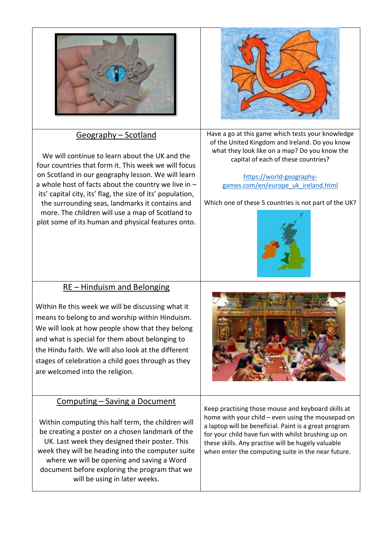

## Geography – Scotland

We will continue to learn about the UK and the four countries that form it. This week we will focus on Scotland in our geography lesson. We will learn a whole host of facts about the country we live in – its' capital city, its' flag, the size of its' population, the surrounding seas, landmarks it contains and more. The children will use a map of Scotland to plot some of its human and physical features onto.



Have a go at this game which tests your knowledge of the United Kingdom and Ireland. Do you know what they look like on a map? Do you know the capital of each of these countries?

> [https://world-geography](https://world-geography-games.com/en/europe_uk_ireland.html)[games.com/en/europe\\_uk\\_ireland.html](https://world-geography-games.com/en/europe_uk_ireland.html)

Which one of these 5 countries is not part of the UK?



## RE – Hinduism and Belonging

Within Re this week we will be discussing what it means to belong to and worship within Hinduism. We will look at how people show that they belong and what is special for them about belonging to the Hindu faith. We will also look at the different stages of celebration a child goes through as they are welcomed into the religion.

## Computing – Saving a Document

Within computing this half term, the children will be creating a poster on a chosen landmark of the UK. Last week they designed their poster. This week they will be heading into the computer suite where we will be opening and saving a Word document before exploring the program that we will be using in later weeks.



Keep practising those mouse and keyboard skills at home with your child – even using the mousepad on a laptop will be beneficial. Paint is a great program for your child have fun with whilst brushing up on these skills. Any practise will be hugely valuable when enter the computing suite in the near future.